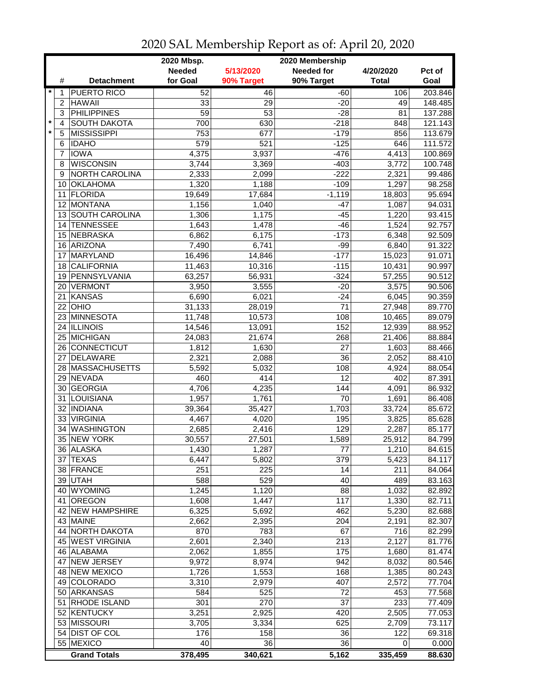|         |                 | 2020 Membership<br>2020 Mbsp. |                 |                  |                   |              |                  |  |
|---------|-----------------|-------------------------------|-----------------|------------------|-------------------|--------------|------------------|--|
|         |                 |                               | <b>Needed</b>   | 5/13/2020        | <b>Needed for</b> | 4/20/2020    | Pct of           |  |
|         | #               | <b>Detachment</b>             | for Goal        | 90% Target       | 90% Target        | <b>Total</b> | Goal             |  |
| $\star$ | 1               | <b>PUERTO RICO</b>            | 52              | 46               | $-60$             | 106          | 203.846          |  |
|         | $\overline{c}$  | <b>HAWAII</b>                 | 33              | 29               | $-20$             | 49           | 148.485          |  |
|         | 3               | <b>PHILIPPINES</b>            | $\overline{59}$ | $\overline{53}$  | $-28$             | 81           | 137.288          |  |
| $\star$ | 4               | <b>SOUTH DAKOTA</b>           | 700             | 630              | $-218$            | 848          | 121.143          |  |
| $\star$ | 5               | <b>MISSISSIPPI</b>            | 753             | 677              | $-179$            | 856          | 113.679          |  |
|         | 6               | <b>IDAHO</b>                  | 579             | $\overline{521}$ | $-125$            | 646          | 111.572          |  |
|         | 7               | <b>IOWA</b>                   | 4,375           | 3,937            | $-476$            | 4,413        | 100.869          |  |
|         | 8               | <b>WISCONSIN</b>              | 3,744           | 3,369            | $-403$            | 3,772        | 100.748          |  |
|         | 9               | NORTH CAROLINA                | 2,333           | 2,099            | $-222$            | 2,321        | 99.486           |  |
|         | 10              | <b>OKLAHOMA</b>               | 1,320           | 1,188            | $-109$            | 1,297        | 98.258           |  |
|         | 11              | <b>FLORIDA</b>                | 19,649          | 17,684           | $-1,119$          | 18,803       | 95.694           |  |
|         | 12 <sup>2</sup> | MONTANA                       | 1,156           | 1,040            | $-47$             | 1,087        | 94.031           |  |
|         |                 | 13 SOUTH CAROLINA             | 1,306           | 1,175            | $-45$             | 1,220        | 93.415           |  |
|         | 14              | <b>TENNESSEE</b>              | 1,643           | 1,478            | $-46$             | 1,524        | 92.757           |  |
|         | 15              | NEBRASKA                      | 6,862           | 6,175            | $-173$            | 6,348        | 92.509           |  |
|         |                 | 16 ARIZONA                    |                 |                  |                   |              | 91.322           |  |
|         |                 |                               | 7,490           | 6,741            | $-99$             | 6,840        |                  |  |
|         | 17              | MARYLAND<br><b>CALIFORNIA</b> | 16,496          | 14,846           | $-177$<br>$-115$  | 15,023       | 91.071<br>90.997 |  |
|         | 18              |                               | 11,463          | 10,316           |                   | 10,431       |                  |  |
|         | 19              | PENNSYLVANIA                  | 63,257          | 56,931           | $-324$            | 57,255       | 90.512           |  |
|         | 20 <sub>1</sub> | VERMONT                       | 3,950           | 3,555            | $-20$             | 3,575        | 90.506           |  |
|         | 21              | <b>KANSAS</b>                 | 6,690           | 6,021            | $-24$             | 6,045        | 90.359           |  |
|         |                 | $22$ OHIO                     | 31, 133         | 28,019           | $\overline{71}$   | 27,948       | 89.770           |  |
|         |                 | 23 MINNESOTA                  | 11,748          | 10,573           | 108               | 10,465       | 89.079           |  |
|         |                 | 24 ILLINOIS                   | 14,546          | 13,091           | 152               | 12,939       | 88.952           |  |
|         |                 | 25 MICHIGAN                   | 24,083          | 21,674           | 268               | 21,406       | 88.884           |  |
|         |                 | 26 CONNECTICUT                | 1,812           | 1,630            | $\overline{27}$   | 1,603        | 88.466           |  |
|         | 27              | <b>DELAWARE</b>               | 2,321           | 2,088            | 36                | 2,052        | 88.410           |  |
|         |                 | 28 MASSACHUSETTS              | 5,592           | 5,032            | 108               | 4,924        | 88.054           |  |
|         | 29              | NEVADA                        | 460             | 414              | 12                | 402          | 87.391           |  |
|         |                 | 30 GEORGIA                    | 4,706           | 4,235            | 144               | 4,091        | 86.932           |  |
|         | 31              | LOUISIANA                     | 1,957           | 1,761            | 70                | 1,691        | 86.408           |  |
|         |                 | 32 INDIANA                    | 39,364          | 35,427           | 1,703             | 33,724       | 85.672           |  |
|         |                 | 33 VIRGINIA                   | 4,467           | 4,020            | 195               | 3,825        | 85.628           |  |
|         | 34              | <b>WASHINGTON</b>             | 2,685           | 2,416            | 129               | 2,287        | 85.177           |  |
|         |                 | 35 NEW YORK                   | 30,557          | 27,501           | 1,589             | 25,912       | 84.799           |  |
|         |                 | 36 ALASKA                     | 1,430           | 1,287            | 77                | 1,210        | 84.615           |  |
|         |                 | 37 TEXAS                      | 6,447           | 5,802            | 379               | 5,423        | 84.117           |  |
|         |                 | 38 FRANCE                     | 251             | 225              | 14                | 211          | 84.064           |  |
|         |                 | 39 UTAH                       | 588             | 529              | 40                | 489          | 83.163           |  |
|         |                 | 40 WYOMING                    | 1,245           | 1,120            | 88                | 1,032        | 82.892           |  |
|         | 41              | <b>OREGON</b>                 | 1,608           | 1,447            | 117               | 1,330        | 82.711           |  |
|         |                 | 42 NEW HAMPSHIRE              | 6,325           | 5,692            | 462               | 5,230        | 82.688           |  |
|         |                 | 43 MAINE                      | 2,662           | 2,395            | 204               | 2,191        | 82.307           |  |
|         |                 | 44 NORTH DAKOTA               | 870             | 783              | 67                | 716          | 82.299           |  |
|         |                 | 45 WEST VIRGINIA              | 2,601           | 2,340            | 213               | 2,127        | 81.776           |  |
|         |                 | 46 ALABAMA                    | 2,062           | 1,855            | 175               | 1,680        | 81.474           |  |
|         | 47              | <b>NEW JERSEY</b>             | 9,972           | 8,974            | 942               | 8,032        | 80.546           |  |
|         |                 | 48 NEW MEXICO                 | 1,726           | 1,553            | 168               | 1,385        | 80.243           |  |
|         |                 | 49 COLORADO                   | 3,310           | 2,979            | 407               | 2,572        | 77.704           |  |
|         |                 | 50 ARKANSAS                   | 584             | 525              | 72                | 453          | 77.568           |  |
|         | 51              | RHODE ISLAND                  | 301             | 270              | 37                | 233          | 77.409           |  |
|         |                 | 52 KENTUCKY                   | 3,251           | 2,925            | 420               | 2,505        | 77.053           |  |
|         |                 | 53 MISSOURI                   | 3,705           | 3,334            | 625               | 2,709        | 73.117           |  |
|         |                 | 54 DIST OF COL                | 176             | 158              | 36                | 122          | 69.318           |  |
|         |                 | 55 MEXICO                     | 40              | 36               | 36                | 0            | 0.000            |  |
|         |                 | <b>Grand Totals</b>           | 378,495         | 340,621          | 5,162             | 335,459      | 88.630           |  |

2020 SAL Membership Report as of: April 20, 2020